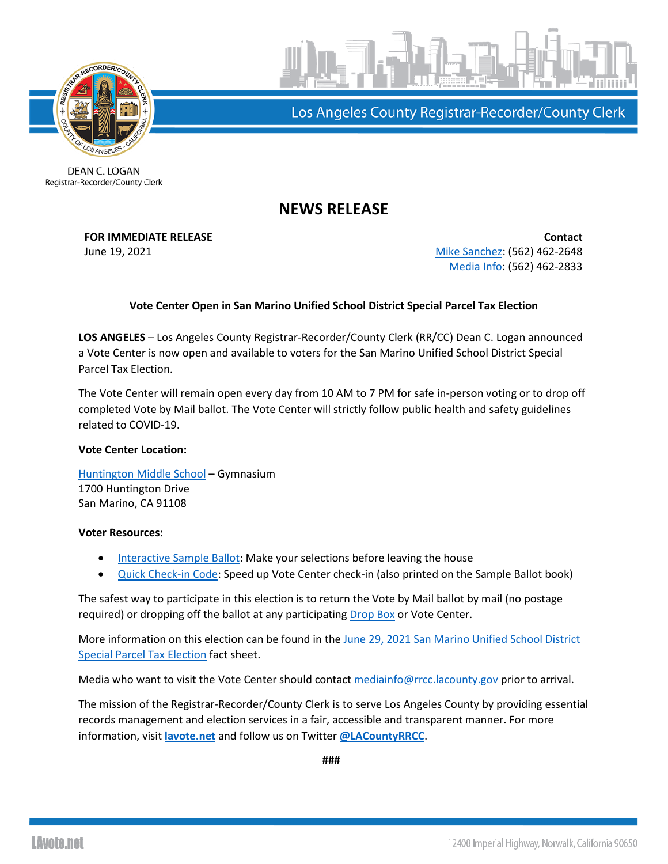



Los Angeles County Registrar-Recorder/County Clerk

DEAN C. LOGAN Registrar-Recorder/County Clerk

## **NEWS RELEASE**

**FOR IMMEDIATE RELEASE Contact** June 19, 2021 [Mike Sanchez:](mailto:msanchez@rrcc.lacounty.gov) (562) 462-2648 [Media Info:](mailto:mediainfo@rrcc.lacounty.gov) (562) 462-2833

## **Vote Center Open in San Marino Unified School District Special Parcel Tax Election**

**LOS ANGELES** – Los Angeles County Registrar-Recorder/County Clerk (RR/CC) Dean C. Logan announced a Vote Center is now open and available to voters for the San Marino Unified School District Special Parcel Tax Election.

The Vote Center will remain open every day from 10 AM to 7 PM for safe in-person voting or to drop off completed Vote by Mail ballot. The Vote Center will strictly follow public health and safety guidelines related to COVID-19.

## **Vote Center Location:**

[Huntington Middle School](https://www.google.com/search?q=1700+Huntington+Drive+San+Marino%2C+CA+91108&rlz=1C1GCEB_enUS915US915&oq=1700+Huntington+Drive+San+Marino%2C+CA+91108&aqs=chrome..69i57.230j0j7&sourceid=chrome&ie=UTF-8) – Gymnasium 1700 Huntington Drive San Marino, CA 91108

## **Voter Resources:**

- [Interactive Sample Ballot:](https://isb.lavote.net/) Make your selections before leaving the house
- [Quick Check-in Code:](https://lavote.net/vrstatus/) Speed up Vote Center check-in (also printed on the Sample Ballot book)

The safest way to participate in this election is to return the Vote by Mail ballot by mail (no postage required) or dropping off the ballot at any participating [Drop Box](https://www.lavote.net/home/voting-elections/voting-options/vote-by-mail/vbm-ballot-drop-off) or Vote Center.

More information on this election can be found in the [June 29, 2021 San Marino Unified School District](https://lavote.net/docs/rrcc/media/Factsheet-06292021-San-Marino.pdf)  [Special Parcel Tax](https://lavote.net/docs/rrcc/media/Factsheet-06292021-San-Marino.pdf) Election fact sheet.

Media who want to visit the Vote Center should contac[t mediainfo@rrcc.lacounty.gov](mailto:mediainfo@rrcc.lacounty.gov) prior to arrival.

The mission of the Registrar-Recorder/County Clerk is to serve Los Angeles County by providing essential records management and election services in a fair, accessible and transparent manner. For more information, visit **[lavote.net](http://www.lavote.net/home/voting-elections/election-resources/election-billing)** and follow us on Twitter **[@LACountyRRCC](https://twitter.com/LACountyRRCC)**.

**###**